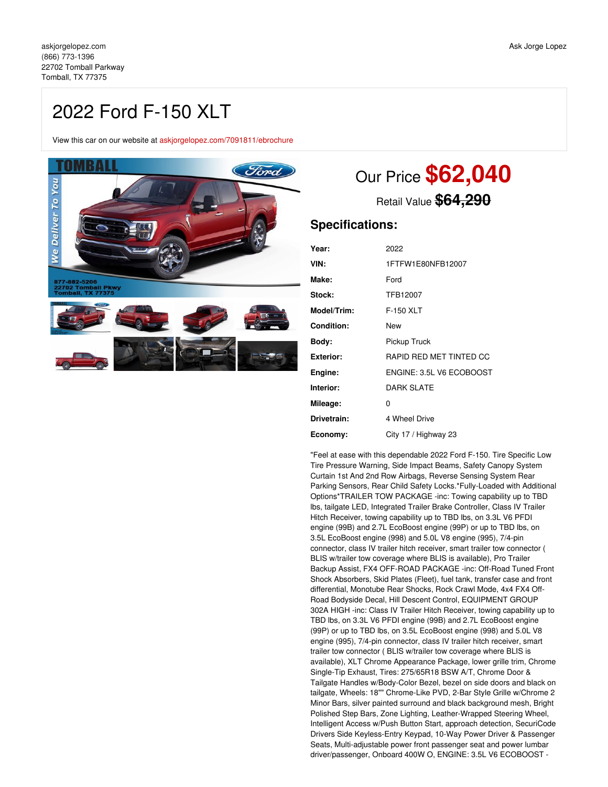# 2022 Ford F-150 XLT

View this car on our website at [askjorgelopez.com/7091811/ebrochure](https://askjorgelopez.com/vehicle/7091811/2022-ford-f-150-xlt-tomball-tx-77375/7091811/ebrochure)



# Our Price **\$62,040**

Retail Value **\$64,290**

# **Specifications:**

| 2022                     |
|--------------------------|
| 1FTFW1E80NFB12007        |
| Ford                     |
| TFB12007                 |
| F-150 XLT                |
| New                      |
| Pickup Truck             |
| RAPID RED MET TINTED CC  |
| ENGINE: 3.5L V6 ECOBOOST |
| <b>DARK SLATE</b>        |
| 0                        |
| 4 Wheel Drive            |
| City 17 / Highway 23     |
|                          |

"Feel at ease with this dependable 2022 Ford F-150. Tire Specific Low Tire Pressure Warning, Side Impact Beams, Safety Canopy System Curtain 1st And 2nd Row Airbags, Reverse Sensing System Rear Parking Sensors, Rear Child Safety Locks.\*Fully-Loaded with Additional Options\*TRAILER TOW PACKAGE -inc: Towing capability up to TBD lbs, tailgate LED, Integrated Trailer Brake Controller, Class IV Trailer Hitch Receiver, towing capability up to TBD lbs, on 3.3L V6 PFDI engine (99B) and 2.7L EcoBoost engine (99P) or up to TBD lbs, on 3.5L EcoBoost engine (998) and 5.0L V8 engine (995), 7/4-pin connector, class IV trailer hitch receiver, smart trailer tow connector ( BLIS w/trailer tow coverage where BLIS is available), Pro Trailer Backup Assist, FX4 OFF-ROAD PACKAGE -inc: Off-Road Tuned Front Shock Absorbers, Skid Plates (Fleet), fuel tank, transfer case and front differential, Monotube Rear Shocks, Rock Crawl Mode, 4x4 FX4 Off-Road Bodyside Decal, Hill Descent Control, EQUIPMENT GROUP 302A HIGH -inc: Class IV Trailer Hitch Receiver, towing capability up to TBD lbs, on 3.3L V6 PFDI engine (99B) and 2.7L EcoBoost engine (99P) or up to TBD lbs, on 3.5L EcoBoost engine (998) and 5.0L V8 engine (995), 7/4-pin connector, class IV trailer hitch receiver, smart trailer tow connector ( BLIS w/trailer tow coverage where BLIS is available), XLT Chrome Appearance Package, lower grille trim, Chrome Single-Tip Exhaust, Tires: 275/65R18 BSW A/T, Chrome Door & Tailgate Handles w/Body-Color Bezel, bezel on side doors and black on tailgate, Wheels: 18"" Chrome-Like PVD, 2-Bar Style Grille w/Chrome 2 Minor Bars, silver painted surround and black background mesh, Bright Polished Step Bars, Zone Lighting, Leather-Wrapped Steering Wheel, Intelligent Access w/Push Button Start, approach detection, SecuriCode Drivers Side Keyless-Entry Keypad, 10-Way Power Driver & Passenger Seats, Multi-adjustable power front passenger seat and power lumbar driver/passenger, Onboard 400W O, ENGINE: 3.5L V6 ECOBOOST -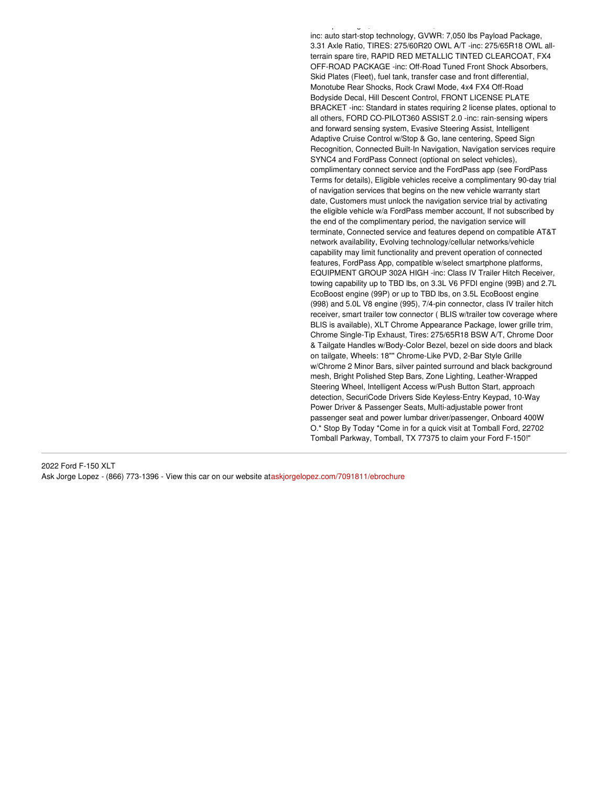inc: auto start-stop technology, GVWR: 7,050 lbs Payload Package, 3.31 Axle Ratio, TIRES: 275/60R20 OWL A/T -inc: 275/65R18 OWL allterrain spare tire, RAPID RED METALLIC TINTED CLEARCOAT, FX4 OFF-ROAD PACKAGE -inc: Off-Road Tuned Front Shock Absorbers, Skid Plates (Fleet), fuel tank, transfer case and front differential, Monotube Rear Shocks, Rock Crawl Mode, 4x4 FX4 Off-Road Bodyside Decal, Hill Descent Control, FRONT LICENSE PLATE BRACKET -inc: Standard in states requiring 2 license plates, optional to all others, FORD CO-PILOT360 ASSIST 2.0 -inc: rain-sensing wipers and forward sensing system, Evasive Steering Assist, Intelligent Adaptive Cruise Control w/Stop & Go, lane centering, Speed Sign Recognition, Connected Built-In Navigation, Navigation services require SYNC4 and FordPass Connect (optional on select vehicles), complimentary connect service and the FordPass app (see FordPass Terms for details), Eligible vehicles receive a complimentary 90-day trial of navigation services that begins on the new vehicle warranty start date, Customers must unlock the navigation service trial by activating the eligible vehicle w/a FordPass member account, If not subscribed by the end of the complimentary period, the navigation service will terminate, Connected service and features depend on compatible AT&T network availability, Evolving technology/cellular networks/vehicle capability may limit functionality and prevent operation of connected features, FordPass App, compatible w/select smartphone platforms, EQUIPMENT GROUP 302A HIGH -inc: Class IV Trailer Hitch Receiver, towing capability up to TBD lbs, on 3.3L V6 PFDI engine (99B) and 2.7L EcoBoost engine (99P) or up to TBD lbs, on 3.5L EcoBoost engine (998) and 5.0L V8 engine (995), 7/4-pin connector, class IV trailer hitch receiver, smart trailer tow connector ( BLIS w/trailer tow coverage where BLIS is available), XLT Chrome Appearance Package, lower grille trim, Chrome Single-Tip Exhaust, Tires: 275/65R18 BSW A/T, Chrome Door & Tailgate Handles w/Body-Color Bezel, bezel on side doors and black on tailgate, Wheels: 18"" Chrome-Like PVD, 2-Bar Style Grille w/Chrome 2 Minor Bars, silver painted surround and black background mesh, Bright Polished Step Bars, Zone Lighting, Leather-Wrapped Steering Wheel, Intelligent Access w/Push Button Start, approach detection, SecuriCode Drivers Side Keyless-Entry Keypad, 10-Way Power Driver & Passenger Seats, Multi-adjustable power front passenger seat and power lumbar driver/passenger, Onboard 400W O.\* Stop By Today \*Come in for a quick visit at Tomball Ford, 22702 Tomball Parkway, Tomball, TX 77375 to claim your Ford F-150!"

driver/passenger, Onboard 400W O, ENGINE: 3.5L V6 ECOBOOST -

2022 Ford F-150 XLT Ask Jorge Lopez - (866) 773-1396 - View this car on our website at[askjorgelopez.com/7091811/ebrochure](https://askjorgelopez.com/vehicle/7091811/2022-ford-f-150-xlt-tomball-tx-77375/7091811/ebrochure)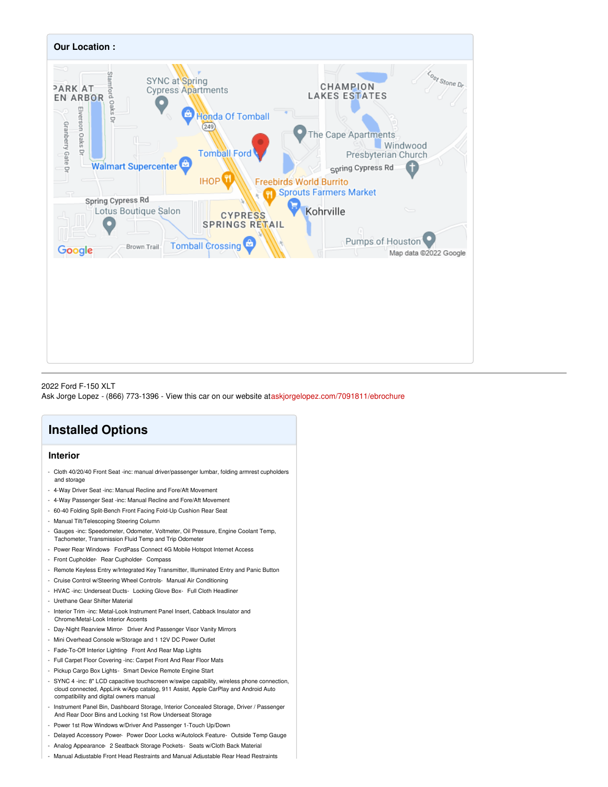

#### 2022 Ford F-150 XLT Ask Jorge Lopez - (866) 773-1396 - View this car on our website at[askjorgelopez.com/7091811/ebrochure](https://askjorgelopez.com/vehicle/7091811/2022-ford-f-150-xlt-tomball-tx-77375/7091811/ebrochure)

# **Installed Options**

### **Interior**

- Cloth 40/20/40 Front Seat -inc: manual driver/passenger lumbar, folding armrest cupholders and storage
- 4-Way Driver Seat -inc: Manual Recline and Fore/Aft Movement
- 4-Way Passenger Seat -inc: Manual Recline and Fore/Aft Movement
- 60-40 Folding Split-Bench Front Facing Fold-Up Cushion Rear Seat
- Manual Tilt/Telescoping Steering Column
- Gauges -inc: Speedometer, Odometer, Voltmeter, Oil Pressure, Engine Coolant Temp, Tachometer, Transmission Fluid Temp and Trip Odometer
- Power Rear Windows- FordPass Connect 4G Mobile Hotspot Internet Access
- Front Cupholder- Rear Cupholder- Compass
- Remote Keyless Entry w/Integrated Key Transmitter, Illuminated Entry and Panic Button
- Cruise Control w/Steering Wheel Controls- Manual Air Conditioning
- HVAC -inc: Underseat Ducts- Locking Glove Box- Full Cloth Headliner
- Urethane Gear Shifter Material
- Interior Trim -inc: Metal-Look Instrument Panel Insert, Cabback Insulator and Chrome/Metal-Look Interior Accents
- Day-Night Rearview Mirror- Driver And Passenger Visor Vanity Mirrors
- Mini Overhead Console w/Storage and 1 12V DC Power Outlet
- Fade-To-Off Interior Lighting- Front And Rear Map Lights
- Full Carpet Floor Covering -inc: Carpet Front And Rear Floor Mats
- Pickup Cargo Box Lights- Smart Device Remote Engine Start
- SYNC 4 -inc: 8" LCD capacitive touchscreen w/swipe capability, wireless phone connection, cloud connected, AppLink w/App catalog, 911 Assist, Apple CarPlay and Android Auto compatibility and digital owners manual
- Instrument Panel Bin, Dashboard Storage, Interior Concealed Storage, Driver / Passenger And Rear Door Bins and Locking 1st Row Underseat Storage
- Power 1st Row Windows w/Driver And Passenger 1-Touch Up/Down
- Delayed Accessory Power- Power Door Locks w/Autolock Feature- Outside Temp Gauge
- Analog Appearance- 2 Seatback Storage Pockets- Seats w/Cloth Back Material
- Manual Adjustable Front Head Restraints and Manual Adjustable Rear Head Restraints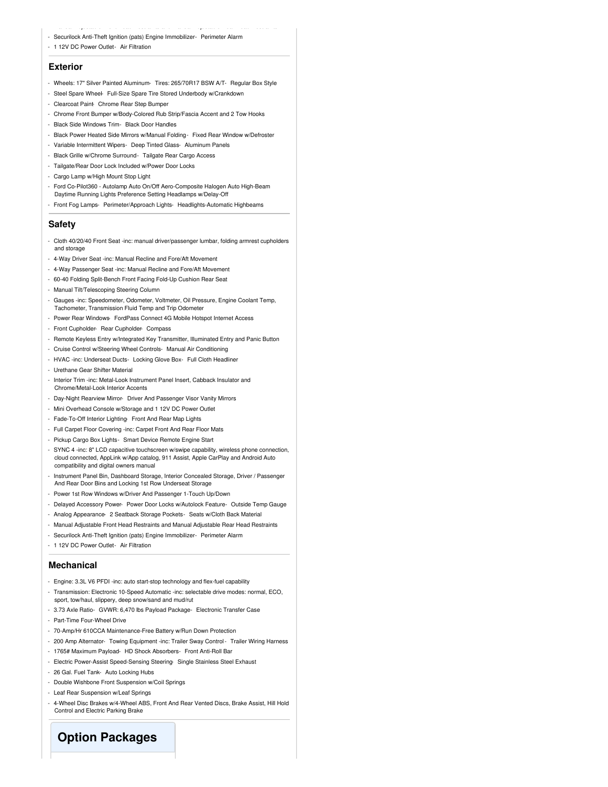- Manual Adjustable Front Head Restraints and Manual Adjustable Rear Head Restraints - Securilock Anti-Theft Ignition (pats) Engine Immobilizer- Perimeter Alarm
- 
- 1 12V DC Power Outlet- Air Filtration

#### **Exterior**

- Wheels: 17" Silver Painted Aluminum- Tires: 265/70R17 BSW A/T- Regular Box Style
- Steel Spare Wheel- Full-Size Spare Tire Stored Underbody w/Crankdown
- Clearcoat Paint- Chrome Rear Step Bumper
- Chrome Front Bumper w/Body-Colored Rub Strip/Fascia Accent and 2 Tow Hooks
- Black Side Windows Trim- Black Door Handles
- Black Power Heated Side Mirrors w/Manual Folding- Fixed Rear Window w/Defroster
- Variable Intermittent Wipers- Deep Tinted Glass- Aluminum Panels
- Black Grille w/Chrome Surround- Tailgate Rear Cargo Access
- Tailgate/Rear Door Lock Included w/Power Door Locks
- Cargo Lamp w/High Mount Stop Light
- Ford Co-Pilot360 Autolamp Auto On/Off Aero-Composite Halogen Auto High-Beam Daytime Running Lights Preference Setting Headlamps w/Delay-Off
- Front Fog Lamps- Perimeter/Approach Lights- Headlights-Automatic Highbeams

#### **Safety**

- Cloth 40/20/40 Front Seat -inc: manual driver/passenger lumbar, folding armrest cupholders and storage
- 4-Way Driver Seat -inc: Manual Recline and Fore/Aft Movement
- 4-Way Passenger Seat -inc: Manual Recline and Fore/Aft Movement
- 60-40 Folding Split-Bench Front Facing Fold-Up Cushion Rear Seat
- Manual Tilt/Telescoping Steering Column
- Gauges -inc: Speedometer, Odometer, Voltmeter, Oil Pressure, Engine Coolant Temp, Tachometer, Transmission Fluid Temp and Trip Odometer
- Power Rear Windows- FordPass Connect 4G Mobile Hotspot Internet Access
- Front Cupholder- Rear Cupholder- Compass
- Remote Keyless Entry w/Integrated Key Transmitter, Illuminated Entry and Panic Button
- Cruise Control w/Steering Wheel Controls- Manual Air Conditioning
- HVAC -inc: Underseat Ducts- Locking Glove Box- Full Cloth Headliner
- Urethane Gear Shifter Material
- Interior Trim -inc: Metal-Look Instrument Panel Insert, Cabback Insulator and Chrome/Metal-Look Interior Accents
- Day-Night Rearview Mirror- Driver And Passenger Visor Vanity Mirrors
- Mini Overhead Console w/Storage and 1 12V DC Power Outlet
- Fade-To-Off Interior Lighting- Front And Rear Map Lights
- Full Carpet Floor Covering -inc: Carpet Front And Rear Floor Mats
- Pickup Cargo Box Lights- Smart Device Remote Engine Start
- SYNC 4 -inc: 8" LCD capacitive touchscreen w/swipe capability, wireless phone connection, cloud connected, AppLink w/App catalog, 911 Assist, Apple CarPlay and Android Auto compatibility and digital owners manual
- Instrument Panel Bin, Dashboard Storage, Interior Concealed Storage, Driver / Passenger And Rear Door Bins and Locking 1st Row Underseat Storage
- Power 1st Row Windows w/Driver And Passenger 1-Touch Up/Down
- Delayed Accessory Power- Power Door Locks w/Autolock Feature- Outside Temp Gauge
- Analog Appearance- 2 Seatback Storage Pockets- Seats w/Cloth Back Material
- Manual Adjustable Front Head Restraints and Manual Adjustable Rear Head Restraints
- Securilock Anti-Theft Ignition (pats) Engine Immobilizer- Perimeter Alarm
- 1 12V DC Power Outlet- Air Filtration

#### **Mechanical**

- Engine: 3.3L V6 PFDI -inc: auto start-stop technology and flex-fuel capability
- Transmission: Electronic 10-Speed Automatic -inc: selectable drive modes: normal, ECO, sport, tow/haul, slippery, deep snow/sand and mud/rut
- 3.73 Axle Ratio- GVWR: 6,470 lbs Payload Package- Electronic Transfer Case
- Part-Time Four-Wheel Drive
- 70-Amp/Hr 610CCA Maintenance-Free Battery w/Run Down Protection
- 200 Amp Alternator- Towing Equipment -inc: Trailer Sway Control Trailer Wiring Harness
- 1765# Maximum Payload- HD Shock Absorbers- Front Anti-Roll Bar
- Electric Power-Assist Speed-Sensing Steering- Single Stainless Steel Exhaust
- 26 Gal. Fuel Tank- Auto Locking Hubs
- Double Wishbone Front Suspension w/Coil Springs
- Leaf Rear Suspension w/Leaf Springs
- 4-Wheel Disc Brakes w/4-Wheel ABS, Front And Rear Vented Discs, Brake Assist, Hill Hold Control and Electric Parking Brake

# **Option Packages**